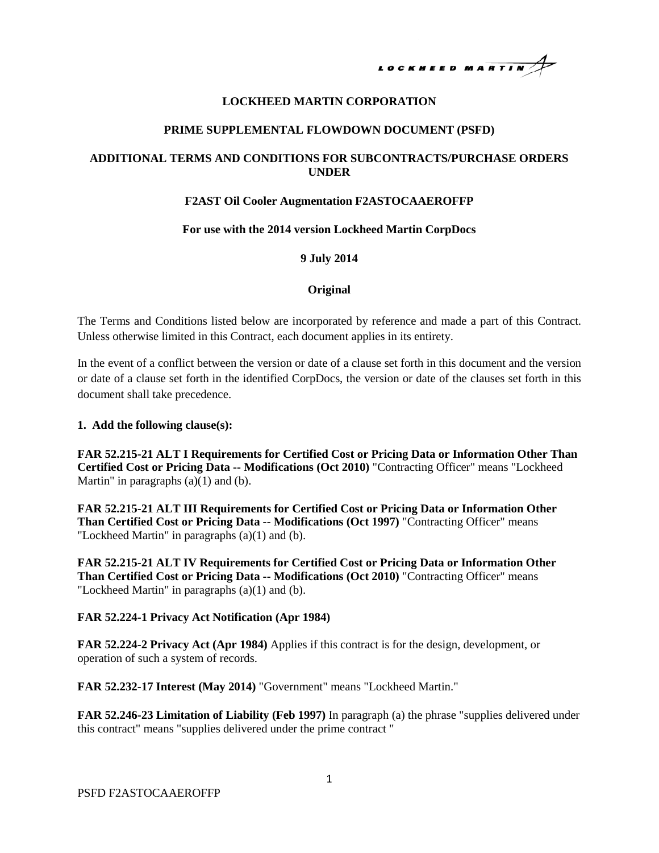# LOCKHEED MARTIN

# **LOCKHEED MARTIN CORPORATION**

## **PRIME SUPPLEMENTAL FLOWDOWN DOCUMENT (PSFD)**

# **ADDITIONAL TERMS AND CONDITIONS FOR SUBCONTRACTS/PURCHASE ORDERS UNDER**

## **F2AST Oil Cooler Augmentation F2ASTOCAAEROFFP**

## **For use with the 2014 version Lockheed Martin CorpDocs**

## **9 July 2014**

## **Original**

The Terms and Conditions listed below are incorporated by reference and made a part of this Contract. Unless otherwise limited in this Contract, each document applies in its entirety.

In the event of a conflict between the version or date of a clause set forth in this document and the version or date of a clause set forth in the identified CorpDocs, the version or date of the clauses set forth in this document shall take precedence.

#### **1. Add the following clause(s):**

**FAR 52.215-21 ALT I Requirements for Certified Cost or Pricing Data or Information Other Than Certified Cost or Pricing Data -- Modifications (Oct 2010)** "Contracting Officer" means "Lockheed Martin" in paragraphs  $(a)(1)$  and  $(b)$ .

**FAR 52.215-21 ALT III Requirements for Certified Cost or Pricing Data or Information Other Than Certified Cost or Pricing Data -- Modifications (Oct 1997)** "Contracting Officer" means "Lockheed Martin" in paragraphs (a)(1) and (b).

**FAR 52.215-21 ALT IV Requirements for Certified Cost or Pricing Data or Information Other Than Certified Cost or Pricing Data -- Modifications (Oct 2010)** "Contracting Officer" means "Lockheed Martin" in paragraphs (a)(1) and (b).

## **FAR 52.224-1 Privacy Act Notification (Apr 1984)**

**FAR 52.224-2 Privacy Act (Apr 1984)** Applies if this contract is for the design, development, or operation of such a system of records.

**FAR 52.232-17 Interest (May 2014)** "Government" means "Lockheed Martin."

**FAR 52.246-23 Limitation of Liability (Feb 1997)** In paragraph (a) the phrase "supplies delivered under this contract" means "supplies delivered under the prime contract "